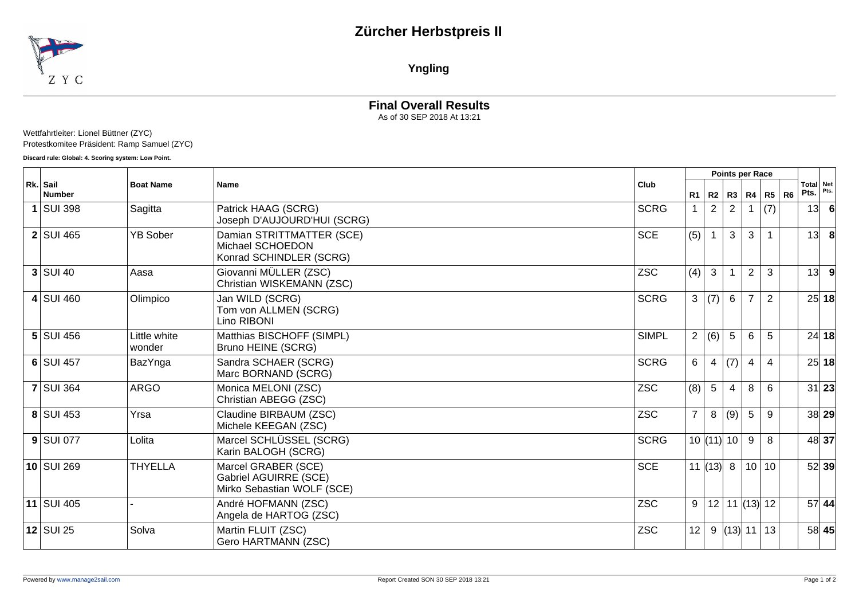## **Zürcher Herbstpreis II**



**Yngling**

### **Final Overall Results**

As of 30 SEP 2018 At 13:21

#### Wettfahrtleiter: Lionel Büttner (ZYC) Protestkomitee Präsident: Ramp Samuel (ZYC)

**Discard rule: Global: 4. Scoring system: Low Point.**

| Rk. Sail<br><b>Number</b> |                        | <b>Name</b>                                                                |              |                |                 | Points per Race         |                 |                |                |                   |       |
|---------------------------|------------------------|----------------------------------------------------------------------------|--------------|----------------|-----------------|-------------------------|-----------------|----------------|----------------|-------------------|-------|
|                           | <b>Boat Name</b>       |                                                                            | Club         | R1             | R2              |                         |                 | R3   R4   R5   | R <sub>6</sub> | Total Net<br>Pts. | Pts.  |
| $1$ SUI 398               | Sagitta                | Patrick HAAG (SCRG)<br>Joseph D'AUJOURD'HUI (SCRG)                         | <b>SCRG</b>  | $\mathbf 1$    | $\overline{2}$  | 2                       |                 | (7)            |                | 13                |       |
| $2$ SUI 465               | <b>YB Sober</b>        | Damian STRITTMATTER (SCE)<br>Michael SCHOEDON<br>Konrad SCHINDLER (SCRG)   | <b>SCE</b>   | (5)            | $\mathbf{1}$    | $\mathbf{3}$            | 3               |                |                | 13                | -8    |
| $3$ SUI 40                | Aasa                   | Giovanni MÜLLER (ZSC)<br>Christian WISKEMANN (ZSC)                         | <b>ZSC</b>   | (4)            | 3               |                         | $\overline{2}$  | 3              |                | 13                | 9     |
| 4 SUI 460                 | Olimpico               | Jan WILD (SCRG)<br>Tom von ALLMEN (SCRG)<br>Lino RIBONI                    | <b>SCRG</b>  |                | 3   (7)         | $6\phantom{1}$          | $\overline{7}$  | $\overline{2}$ |                |                   | 25 18 |
| $5$ SUI 456               | Little white<br>wonder | Matthias BISCHOFF (SIMPL)<br>Bruno HEINE (SCRG)                            | <b>SIMPL</b> |                | 2 (6)           | 5                       | 6               | 5              |                |                   | 24 18 |
| $6$ SUI 457               | BazYnga                | Sandra SCHAER (SCRG)<br>Marc BORNAND (SCRG)                                | <b>SCRG</b>  | 6 <sup>1</sup> | $\overline{4}$  | (7)                     | $\overline{4}$  | $\overline{4}$ |                |                   | 25 18 |
| <b>7 SUI 364</b>          | <b>ARGO</b>            | Monica MELONI (ZSC)<br>Christian ABEGG (ZSC)                               | <b>ZSC</b>   | (8)            | $5\overline{)}$ | $\overline{\mathbf{4}}$ | 8               | 6              |                |                   | 31 23 |
| 8 SUI 453                 | Yrsa                   | Claudine BIRBAUM (ZSC)<br>Michele KEEGAN (ZSC)                             | <b>ZSC</b>   | 7 <sup>1</sup> | 8               | (9)                     | 5               | 9              |                |                   | 38 29 |
| $9$ SUI 077               | Lolita                 | Marcel SCHLÜSSEL (SCRG)<br>Karin BALOGH (SCRG)                             | <b>SCRG</b>  |                | $10$ (11) 10    |                         | 9               | 8              |                |                   | 48 37 |
| $10$ SUI 269              | <b>THYELLA</b>         | Marcel GRABER (SCE)<br>Gabriel AGUIRRE (SCE)<br>Mirko Sebastian WOLF (SCE) | <b>SCE</b>   |                | 11 $(13)$ 8     |                         |                 | 10 10          |                |                   | 52 39 |
| 11 SUI 405                |                        | André HOFMANN (ZSC)<br>Angela de HARTOG (ZSC)                              | <b>ZSC</b>   | 9              |                 |                         | $12$ 11 (13) 12 |                |                |                   | 57 44 |
| $12$ SUI 25               | Solva                  | Martin FLUIT (ZSC)<br>Gero HARTMANN (ZSC)                                  | <b>ZSC</b>   | 12             |                 |                         | $9$ (13) 11 13  |                |                |                   | 58 45 |